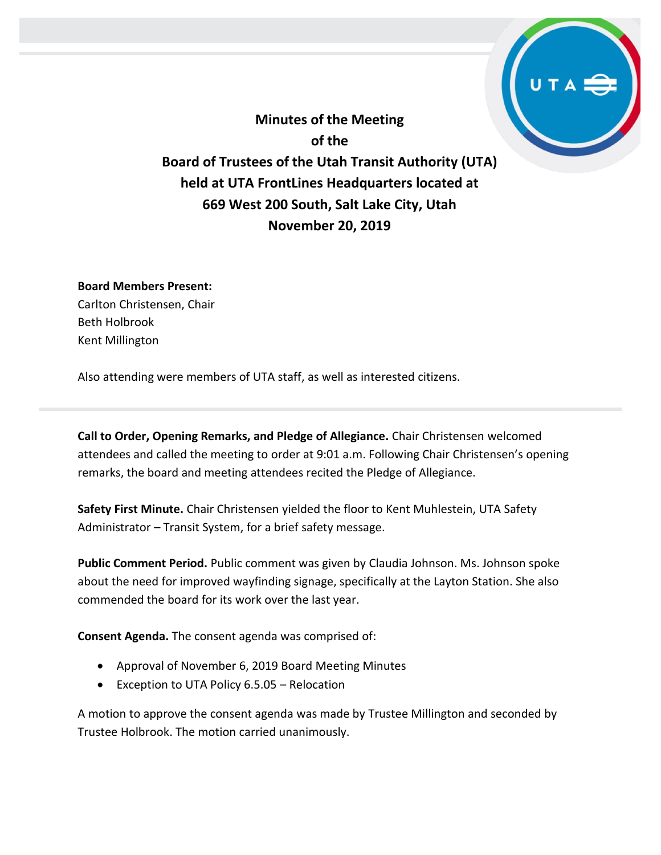**Minutes of the Meeting of the Board of Trustees of the Utah Transit Authority (UTA) held at UTA FrontLines Headquarters located at 669 West 200 South, Salt Lake City, Utah November 20, 2019**

## **Board Members Present:**

Carlton Christensen, Chair Beth Holbrook Kent Millington

Also attending were members of UTA staff, as well as interested citizens.

**Call to Order, Opening Remarks, and Pledge of Allegiance.** Chair Christensen welcomed attendees and called the meeting to order at 9:01 a.m. Following Chair Christensen's opening remarks, the board and meeting attendees recited the Pledge of Allegiance.

**Safety First Minute.** Chair Christensen yielded the floor to Kent Muhlestein, UTA Safety Administrator – Transit System, for a brief safety message.

**Public Comment Period.** Public comment was given by Claudia Johnson. Ms. Johnson spoke about the need for improved wayfinding signage, specifically at the Layton Station. She also commended the board for its work over the last year.

**Consent Agenda.** The consent agenda was comprised of:

- Approval of November 6, 2019 Board Meeting Minutes
- Exception to UTA Policy 6.5.05 Relocation

A motion to approve the consent agenda was made by Trustee Millington and seconded by Trustee Holbrook. The motion carried unanimously.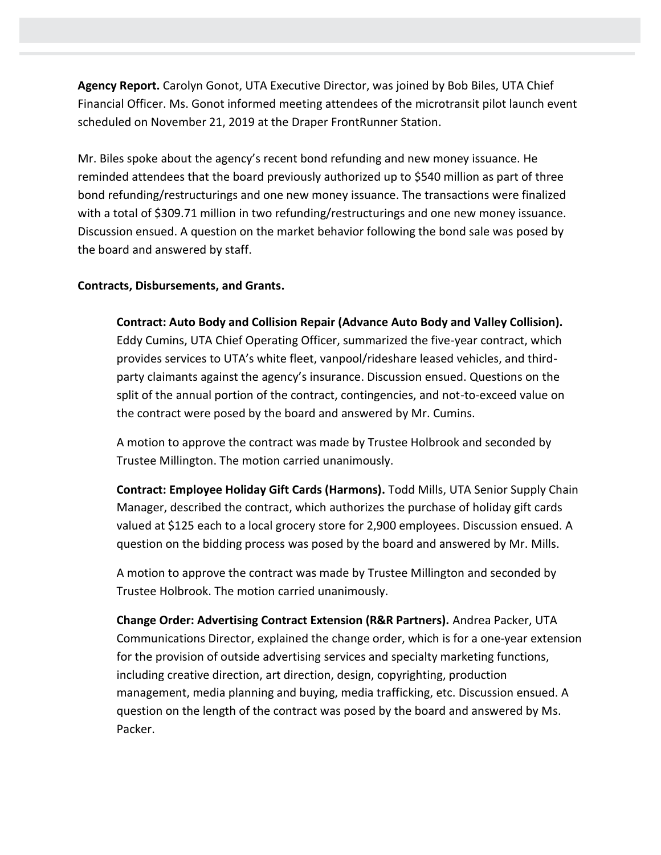**Agency Report.** Carolyn Gonot, UTA Executive Director, was joined by Bob Biles, UTA Chief Financial Officer. Ms. Gonot informed meeting attendees of the microtransit pilot launch event scheduled on November 21, 2019 at the Draper FrontRunner Station.

Mr. Biles spoke about the agency's recent bond refunding and new money issuance. He reminded attendees that the board previously authorized up to \$540 million as part of three bond refunding/restructurings and one new money issuance. The transactions were finalized with a total of \$309.71 million in two refunding/restructurings and one new money issuance. Discussion ensued. A question on the market behavior following the bond sale was posed by the board and answered by staff.

## **Contracts, Disbursements, and Grants.**

**Contract: Auto Body and Collision Repair (Advance Auto Body and Valley Collision).**  Eddy Cumins, UTA Chief Operating Officer, summarized the five-year contract, which provides services to UTA's white fleet, vanpool/rideshare leased vehicles, and thirdparty claimants against the agency's insurance. Discussion ensued. Questions on the split of the annual portion of the contract, contingencies, and not-to-exceed value on the contract were posed by the board and answered by Mr. Cumins.

A motion to approve the contract was made by Trustee Holbrook and seconded by Trustee Millington. The motion carried unanimously.

**Contract: Employee Holiday Gift Cards (Harmons).** Todd Mills, UTA Senior Supply Chain Manager, described the contract, which authorizes the purchase of holiday gift cards valued at \$125 each to a local grocery store for 2,900 employees. Discussion ensued. A question on the bidding process was posed by the board and answered by Mr. Mills.

A motion to approve the contract was made by Trustee Millington and seconded by Trustee Holbrook. The motion carried unanimously.

**Change Order: Advertising Contract Extension (R&R Partners).** Andrea Packer, UTA Communications Director, explained the change order, which is for a one-year extension for the provision of outside advertising services and specialty marketing functions, including creative direction, art direction, design, copyrighting, production management, media planning and buying, media trafficking, etc. Discussion ensued. A question on the length of the contract was posed by the board and answered by Ms. Packer.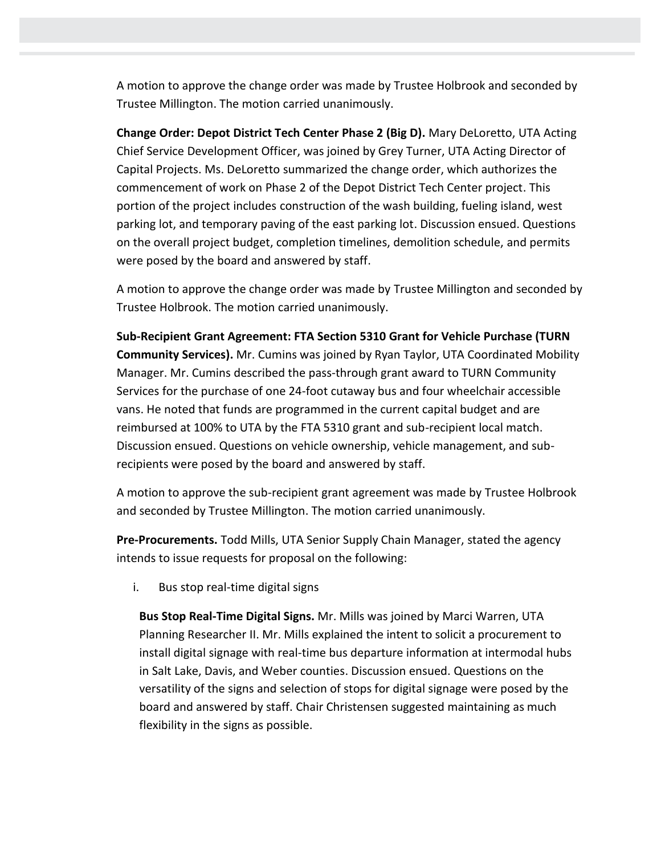A motion to approve the change order was made by Trustee Holbrook and seconded by Trustee Millington. The motion carried unanimously.

**Change Order: Depot District Tech Center Phase 2 (Big D).** Mary DeLoretto, UTA Acting Chief Service Development Officer, was joined by Grey Turner, UTA Acting Director of Capital Projects. Ms. DeLoretto summarized the change order, which authorizes the commencement of work on Phase 2 of the Depot District Tech Center project. This portion of the project includes construction of the wash building, fueling island, west parking lot, and temporary paving of the east parking lot. Discussion ensued. Questions on the overall project budget, completion timelines, demolition schedule, and permits were posed by the board and answered by staff.

A motion to approve the change order was made by Trustee Millington and seconded by Trustee Holbrook. The motion carried unanimously.

**Sub-Recipient Grant Agreement: FTA Section 5310 Grant for Vehicle Purchase (TURN Community Services).** Mr. Cumins was joined by Ryan Taylor, UTA Coordinated Mobility Manager. Mr. Cumins described the pass-through grant award to TURN Community Services for the purchase of one 24-foot cutaway bus and four wheelchair accessible vans. He noted that funds are programmed in the current capital budget and are reimbursed at 100% to UTA by the FTA 5310 grant and sub-recipient local match. Discussion ensued. Questions on vehicle ownership, vehicle management, and subrecipients were posed by the board and answered by staff.

A motion to approve the sub-recipient grant agreement was made by Trustee Holbrook and seconded by Trustee Millington. The motion carried unanimously.

**Pre-Procurements.** Todd Mills, UTA Senior Supply Chain Manager, stated the agency intends to issue requests for proposal on the following:

i. Bus stop real-time digital signs

**Bus Stop Real-Time Digital Signs.** Mr. Mills was joined by Marci Warren, UTA Planning Researcher II. Mr. Mills explained the intent to solicit a procurement to install digital signage with real-time bus departure information at intermodal hubs in Salt Lake, Davis, and Weber counties. Discussion ensued. Questions on the versatility of the signs and selection of stops for digital signage were posed by the board and answered by staff. Chair Christensen suggested maintaining as much flexibility in the signs as possible.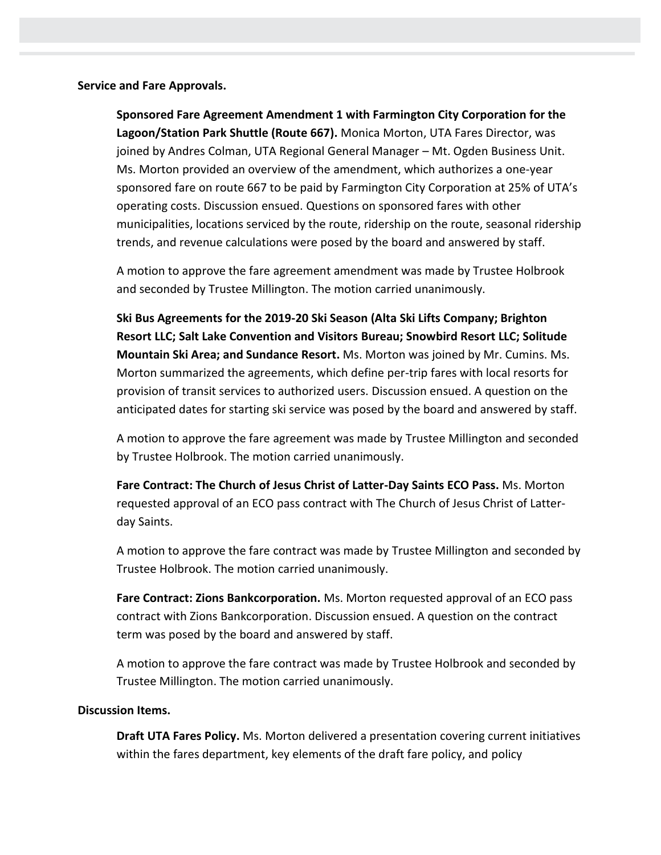**Service and Fare Approvals.**

**Sponsored Fare Agreement Amendment 1 with Farmington City Corporation for the Lagoon/Station Park Shuttle (Route 667).** Monica Morton, UTA Fares Director, was joined by Andres Colman, UTA Regional General Manager – Mt. Ogden Business Unit. Ms. Morton provided an overview of the amendment, which authorizes a one-year sponsored fare on route 667 to be paid by Farmington City Corporation at 25% of UTA's operating costs. Discussion ensued. Questions on sponsored fares with other municipalities, locations serviced by the route, ridership on the route, seasonal ridership trends, and revenue calculations were posed by the board and answered by staff.

A motion to approve the fare agreement amendment was made by Trustee Holbrook and seconded by Trustee Millington. The motion carried unanimously.

**Ski Bus Agreements for the 2019-20 Ski Season (Alta Ski Lifts Company; Brighton Resort LLC; Salt Lake Convention and Visitors Bureau; Snowbird Resort LLC; Solitude Mountain Ski Area; and Sundance Resort.** Ms. Morton was joined by Mr. Cumins. Ms. Morton summarized the agreements, which define per-trip fares with local resorts for provision of transit services to authorized users. Discussion ensued. A question on the anticipated dates for starting ski service was posed by the board and answered by staff.

A motion to approve the fare agreement was made by Trustee Millington and seconded by Trustee Holbrook. The motion carried unanimously.

**Fare Contract: The Church of Jesus Christ of Latter-Day Saints ECO Pass.** Ms. Morton requested approval of an ECO pass contract with The Church of Jesus Christ of Latterday Saints.

A motion to approve the fare contract was made by Trustee Millington and seconded by Trustee Holbrook. The motion carried unanimously.

**Fare Contract: Zions Bankcorporation.** Ms. Morton requested approval of an ECO pass contract with Zions Bankcorporation. Discussion ensued. A question on the contract term was posed by the board and answered by staff.

A motion to approve the fare contract was made by Trustee Holbrook and seconded by Trustee Millington. The motion carried unanimously.

## **Discussion Items.**

**Draft UTA Fares Policy.** Ms. Morton delivered a presentation covering current initiatives within the fares department, key elements of the draft fare policy, and policy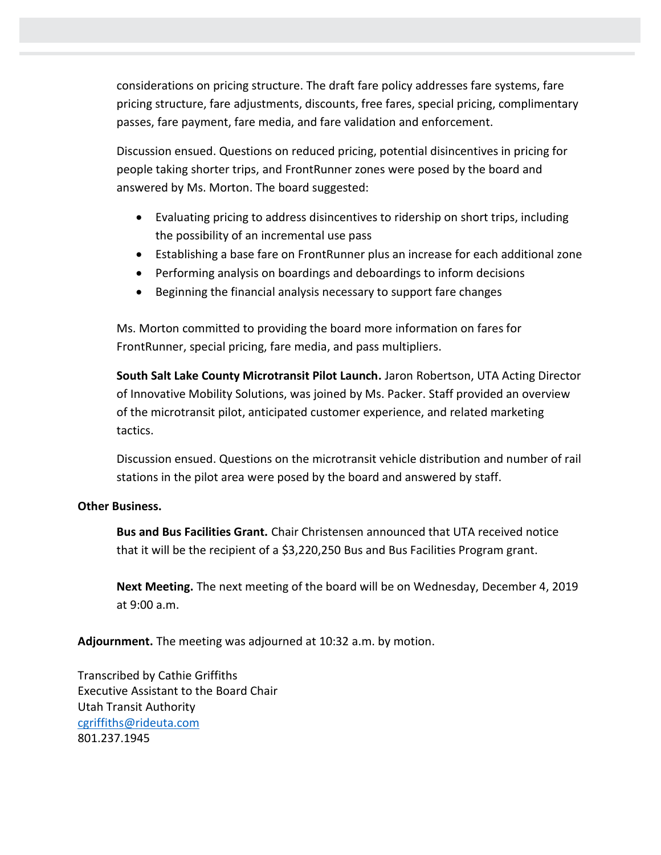considerations on pricing structure. The draft fare policy addresses fare systems, fare pricing structure, fare adjustments, discounts, free fares, special pricing, complimentary passes, fare payment, fare media, and fare validation and enforcement.

Discussion ensued. Questions on reduced pricing, potential disincentives in pricing for people taking shorter trips, and FrontRunner zones were posed by the board and answered by Ms. Morton. The board suggested:

- Evaluating pricing to address disincentives to ridership on short trips, including the possibility of an incremental use pass
- Establishing a base fare on FrontRunner plus an increase for each additional zone
- Performing analysis on boardings and deboardings to inform decisions
- Beginning the financial analysis necessary to support fare changes

Ms. Morton committed to providing the board more information on fares for FrontRunner, special pricing, fare media, and pass multipliers.

**South Salt Lake County Microtransit Pilot Launch.** Jaron Robertson, UTA Acting Director of Innovative Mobility Solutions, was joined by Ms. Packer. Staff provided an overview of the microtransit pilot, anticipated customer experience, and related marketing tactics.

Discussion ensued. Questions on the microtransit vehicle distribution and number of rail stations in the pilot area were posed by the board and answered by staff.

## **Other Business.**

**Bus and Bus Facilities Grant.** Chair Christensen announced that UTA received notice that it will be the recipient of a \$3,220,250 Bus and Bus Facilities Program grant.

**Next Meeting.** The next meeting of the board will be on Wednesday, December 4, 2019 at 9:00 a.m.

**Adjournment.** The meeting was adjourned at 10:32 a.m. by motion.

Transcribed by Cathie Griffiths Executive Assistant to the Board Chair Utah Transit Authority [cgriffiths@rideuta.com](mailto:cgriffiths@rideuta.com) 801.237.1945